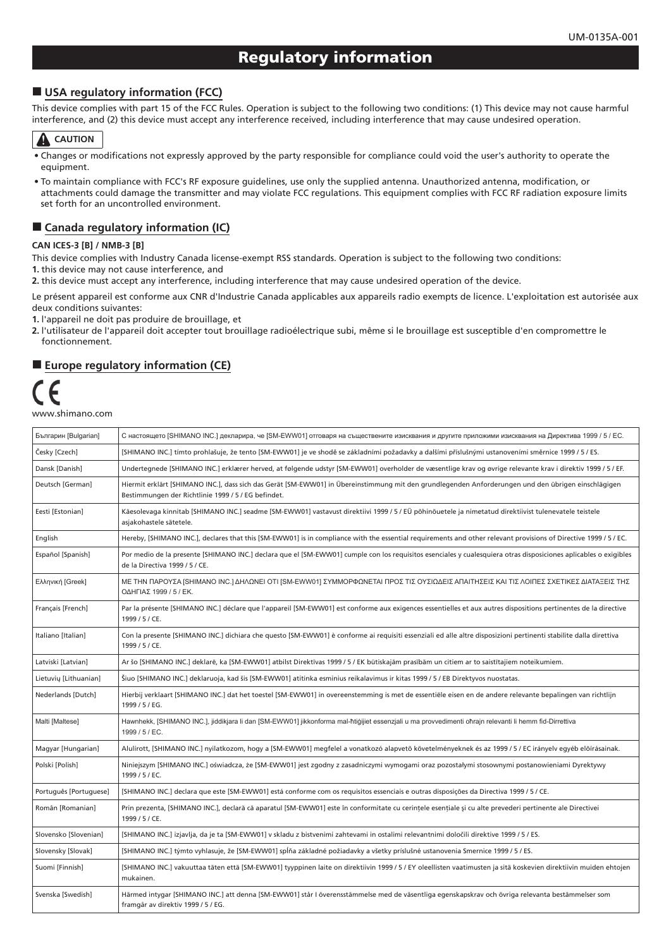# **Regulatory information**

#### $\blacksquare$  **USA regulatory information (FCC)**

This device complies with part 15 of the FCC Rules. Operation is subject to the following two conditions: (1) This device may not cause harmful interference, and (2) this device must accept any interference received, including interference that may cause undesired operation.

# **A** CAUTION

- Changes or modifications not expressly approved by the party responsible for compliance could void the user's authority to operate the .equipment
- To maintain compliance with FCC's RF exposure guidelines, use only the supplied antenna. Unauthorized antenna, modification, or attachments could damage the transmitter and may violate FCC regulations. This equipment complies with FCC RF radiation exposure limits set forth for an uncontrolled environment.

### **E** Canada regulatory information (IC)

#### **CAN ICES-3 [B] / NMB-3 [B]**

This device complies with Industry Canada license-exempt RSS standards. Operation is subject to the following two conditions: 1. this device may not cause interference, and

2. this device must accept any interference, including interference that may cause undesired operation of the device.

Le présent appareil est conforme aux CNR d'Industrie Canada applicables aux appareils radio exempts de licence. L'exploitation est autorisée aux deux conditions suivantes:

1. l'appareil ne doit pas produire de brouillage, et

2. l'utilisateur de l'appareil doit accepter tout brouillage radioélectrique subi, même si le brouillage est susceptible d'en compromettre le .fonctionnement

# **Exercise Europe regulatory information (CE)**



| Българин [Bulgarian]   | С настоящето [SHIMANO INC.] декларира, че [SM-EWW01] отговаря на съществените изисквания и другите приложими изисквания на Директива 1999 / 5 / ЕС.                                                        |
|------------------------|------------------------------------------------------------------------------------------------------------------------------------------------------------------------------------------------------------|
| Česky [Czech]          | [SHIMANO INC.] tímto prohlašuje, že tento [SM-EWW01] je ve shodě se základními požadavky a dalšími příslušnými ustanoveními směrnice 1999 / 5 / ES.                                                        |
| Dansk [Danish]         | Undertegnede [SHIMANO INC.] erklærer herved, at følgende udstyr [SM-EWW01] overholder de væsentlige krav og øvrige relevante krav i direktiv 1999 / 5 / EF.                                                |
| Deutsch [German]       | Hiermit erklärt [SHIMANO INC.], dass sich das Gerät [SM-EWW01] in Übereinstimmung mit den grundlegenden Anforderungen und den übrigen einschlägigen<br>Bestimmungen der Richtlinie 1999 / 5 / EG befindet. |
| Eesti [Estonian]       | Käesolevaga kinnitab [SHIMANO INC.] seadme [SM-EWW01] vastavust direktiivi 1999 / 5 / EÜ põhinõuetele ja nimetatud direktiivist tulenevatele teistele<br>asjakohastele sätetele.                           |
| English                | Hereby, [SHIMANO INC.], declares that this [SM-EWW01] is in compliance with the essential requirements and other relevant provisions of Directive 1999 / 5 / EC.                                           |
| Español [Spanish]      | Por medio de la presente [SHIMANO INC.] declara que el [SM-EWW01] cumple con los requisitos esenciales y cualesquiera otras disposiciones aplicables o exigibles<br>de la Directiva 1999 / 5 / CE.         |
| Ελληνική [Greek]       | ΜΕ ΤΗΝ ΠΑΡΟΥΣΑ [SHIMANO INC.] ΔΗΛΩΝΕΙ ΟΤΙ [SM-EWW01] ΣΥΜΜΟΡΦΩΝΕΤΑΙ ΠΡΟΣ ΤΙΣ ΟΥΣΙΩΔΕΙΣ ΑΠΑΙΤΗΣΕΙΣ ΚΑΙ ΤΙΣ ΛΟΙΠΕΣ ΣΧΕΤΙΚΕΣ ΔΙΑΤΑΞΕΙΣ ΤΗΣ<br>ΟΔΗΓΙΑΣ 1999 / 5 / ΕΚ.                                           |
| Français [French]      | Par la présente [SHIMANO INC.] déclare que l'appareil [SM-EWW01] est conforme aux exigences essentielles et aux autres dispositions pertinentes de la directive<br>1999 / 5 / CE.                          |
| Italiano [Italian]     | Con la presente [SHIMANO INC.] dichiara che questo [SM-EWW01] è conforme ai requisiti essenziali ed alle altre disposizioni pertinenti stabilite dalla direttiva<br>1999 / 5 / CE.                         |
| Latviski [Latvian]     | Ar šo [SHIMANO INC.] deklarē, ka [SM-EWW01] atbilst Direktīvas 1999 / 5 / EK būtiskajām prasībām un citiem ar to saistītajiem noteikumiem.                                                                 |
| Lietuvių [Lithuanian]  | Šiuo [SHIMANO INC.] deklaruoja, kad šis [SM-EWW01] atitinka esminius reikalavimus ir kitas 1999 / 5 / EB Direktyvos nuostatas.                                                                             |
| Nederlands [Dutch]     | Hierbij verklaart [SHIMANO INC.] dat het toestel [SM-EWW01] in overeenstemming is met de essentiële eisen en de andere relevante bepalingen van richtlijn<br>1999 / 5 / EG.                                |
| Malti [Maltese]        | Hawnhekk, [SHIMANO INC.], jiddikjara li dan [SM-EWW01] jikkonforma mal-ħtiġijiet essenzjali u ma provvedimenti oħrajn relevanti li hemm fid-Dirrettiva<br>1999 / 5 / EC.                                   |
| Magyar [Hungarian]     | Alulírott, [SHIMANO INC.] nyilatkozom, hogy a [SM-EWW01] megfelel a vonatkozó alapvető követelményeknek és az 1999 / 5 / EC irányelv egyéb előírásainak.                                                   |
| Polski [Polish]        | Niniejszym [SHIMANO INC.] oświadcza, że [SM-EWW01] jest zgodny z zasadniczymi wymogami oraz pozostałymi stosownymi postanowieniami Dyrektywy<br>1999 / 5 / EC.                                             |
| Português [Portuguese] | [SHIMANO INC.] declara que este [SM-EWW01] está conforme com os requisitos essenciais e outras disposições da Directiva 1999 / 5 / CE.                                                                     |
| Român [Romanian]       | Prin prezenta, [SHIMANO INC.], declară că aparatul [SM-EWW01] este în conformitate cu cerințele esențiale și cu alte prevederi pertinente ale Directivei<br>1999 / 5 / CE.                                 |
| Slovensko [Slovenian]  | [SHIMANO INC.] izjavlja, da je ta [SM-EWW01] v skladu z bistvenimi zahtevami in ostalimi relevantnimi določili direktive 1999 / 5 / ES.                                                                    |
| Slovensky [Slovak]     | [SHIMANO INC.] týmto vyhlasuje, že [SM-EWW01] spĺňa základné požiadavky a všetky príslušné ustanovenia Smernice 1999 / 5 / ES.                                                                             |
| Suomi [Finnish]        | [SHIMANO INC.] vakuuttaa täten että [SM-EWW01] tyyppinen laite on direktiivin 1999 / 5 / EY oleellisten vaatimusten ja sitä koskevien direktiivin muiden ehtojen<br>mukainen.                              |
| Svenska [Swedish]      | Härmed intygar [SHIMANO INC.] att denna [SM-EWW01] står I överensstämmelse med de väsentliga egenskapskrav och övriga relevanta bestämmelser som<br>framgår av direktiv 1999 / 5 / EG.                     |